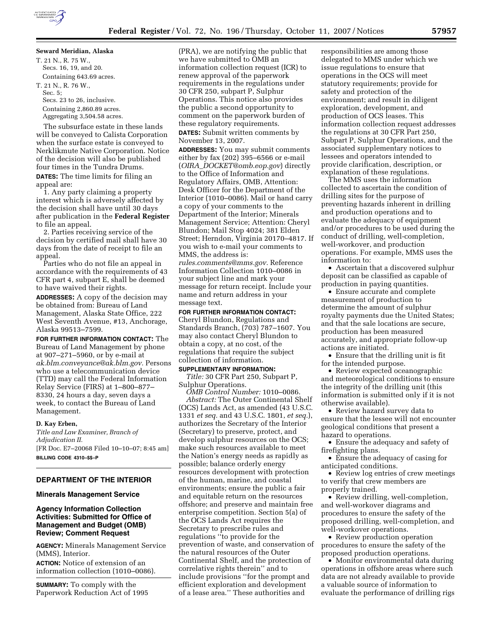T. 21 N., R. 75 W., Secs. 16, 19, and 20. Containing 643.69 acres. T. 21 N., R. 76 W., Sec. 5; Secs. 23 to 26, inclusive. Containing 2,860.89 acres. Aggregating 3,504.58 acres.

The subsurface estate in these lands will be conveyed to Calista Corporation when the surface estate is conveyed to Nerklikmute Native Corporation. Notice of the decision will also be published four times in the Tundra Drums. **DATES:** The time limits for filing an appeal are:

1. Any party claiming a property interest which is adversely affected by the decision shall have until 30 days after publication in the **Federal Register**  to file an appeal.

2. Parties receiving service of the decision by certified mail shall have 30 days from the date of receipt to file an appeal.

Parties who do not file an appeal in accordance with the requirements of 43 CFR part 4, subpart E, shall be deemed to have waived their rights.

**ADDRESSES:** A copy of the decision may be obtained from: Bureau of Land Management, Alaska State Office, 222 West Seventh Avenue, #13, Anchorage, Alaska 99513–7599.

**FOR FURTHER INFORMATION CONTACT:** The Bureau of Land Management by phone at 907–271–5960, or by e-mail at *ak.blm.conveyance@ak.blm.gov.* Persons who use a telecommunication device (TTD) may call the Federal Information Relay Service (FIRS) at 1–800–877– 8330, 24 hours a day, seven days a week, to contact the Bureau of Land Management.

#### **D. Kay Erben,**

*Title and Law Examiner, Branch of Adjudication II.*  [FR Doc. E7–20068 Filed 10–10–07; 8:45 am] **BILLING CODE 4310–\$\$–P** 

# **DEPARTMENT OF THE INTERIOR**

## **Minerals Management Service**

# **Agency Information Collection Activities: Submitted for Office of Management and Budget (OMB) Review; Comment Request**

**AGENCY:** Minerals Management Service (MMS), Interior.

**ACTION:** Notice of extension of an information collection (1010–0086).

**SUMMARY:** To comply with the Paperwork Reduction Act of 1995 (PRA), we are notifying the public that we have submitted to OMB an information collection request (ICR) to renew approval of the paperwork requirements in the regulations under 30 CFR 250, subpart P, Sulphur Operations. This notice also provides the public a second opportunity to comment on the paperwork burden of these regulatory requirements.

**DATES:** Submit written comments by November 13, 2007.

**ADDRESSES:** You may submit comments either by fax (202) 395–6566 or e-mail (*OIRA*\_*DOCKET@omb.eop.gov*) directly to the Office of Information and Regulatory Affairs, OMB, Attention: Desk Officer for the Department of the Interior (1010–0086). Mail or hand carry a copy of your comments to the Department of the Interior; Minerals Management Service; Attention: Cheryl Blundon; Mail Stop 4024; 381 Elden Street; Herndon, Virginia 20170–4817. If you wish to e-mail your comments to MMS, the address is:

*rules.comments@mms.gov.* Reference Information Collection 1010–0086 in your subject line and mark your message for return receipt. Include your name and return address in your message text.

#### **FOR FURTHER INFORMATION CONTACT:**

Cheryl Blundon, Regulations and Standards Branch, (703) 787–1607. You may also contact Cheryl Blundon to obtain a copy, at no cost, of the regulations that require the subject collection of information.

#### **SUPPLEMENTARY INFORMATION:**

*Title:* 30 CFR Part 250, Subpart P, Sulphur Operations.

*OMB Control Number:* 1010–0086. *Abstract:* The Outer Continental Shelf (OCS) Lands Act, as amended (43 U.S.C. 1331 *et seq.* and 43 U.S.C. 1801, *et seq.*), authorizes the Secretary of the Interior (Secretary) to preserve, protect, and develop sulphur resources on the OCS; make such resources available to meet the Nation's energy needs as rapidly as possible; balance orderly energy resources development with protection of the human, marine, and coastal environments; ensure the public a fair and equitable return on the resources offshore; and preserve and maintain free enterprise competition. Section 5(a) of the OCS Lands Act requires the Secretary to prescribe rules and regulations ''to provide for the prevention of waste, and conservation of the natural resources of the Outer Continental Shelf, and the protection of correlative rights therein'' and to include provisions ''for the prompt and efficient exploration and development of a lease area.'' These authorities and

responsibilities are among those delegated to MMS under which we issue regulations to ensure that operations in the OCS will meet statutory requirements; provide for safety and protection of the environment; and result in diligent exploration, development, and production of OCS leases. This information collection request addresses the regulations at 30 CFR Part 250, Subpart P, Sulphur Operations, and the associated supplementary notices to lessees and operators intended to provide clarification, description, or explanation of these regulations.

The MMS uses the information collected to ascertain the condition of drilling sites for the purpose of preventing hazards inherent in drilling and production operations and to evaluate the adequacy of equipment and/or procedures to be used during the conduct of drilling, well-completion, well-workover, and production operations. For example, MMS uses the information to:

• Ascertain that a discovered sulphur deposit can be classified as capable of production in paying quantities.

• Ensure accurate and complete measurement of production to determine the amount of sulphur royalty payments due the United States; and that the sale locations are secure, production has been measured accurately, and appropriate follow-up actions are initiated.

• Ensure that the drilling unit is fit for the intended purpose.

• Review expected oceanographic and meteorological conditions to ensure the integrity of the drilling unit (this information is submitted only if it is not otherwise available).

• Review hazard survey data to ensure that the lessee will not encounter geological conditions that present a hazard to operations.

• Ensure the adequacy and safety of firefighting plans.

• Ensure the adequacy of casing for anticipated conditions.

• Review log entries of crew meetings to verify that crew members are properly trained.

• Review drilling, well-completion, and well-workover diagrams and procedures to ensure the safety of the proposed drilling, well-completion, and well-workover operations.

• Review production operation procedures to ensure the safety of the proposed production operations.

• Monitor environmental data during operations in offshore areas where such data are not already available to provide a valuable source of information to evaluate the performance of drilling rigs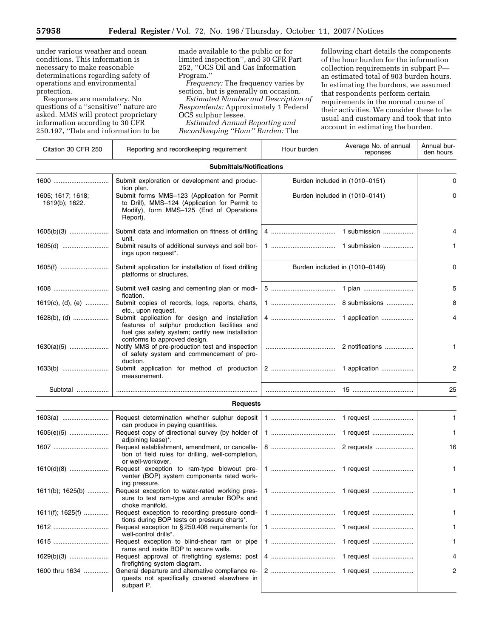▀

under various weather and ocean conditions. This information is necessary to make reasonable determinations regarding safety of operations and environmental protection.

Responses are mandatory. No questions of a ''sensitive'' nature are asked. MMS will protect proprietary information according to 30 CFR 250.197, ''Data and information to be

made available to the public or for limited inspection'', and 30 CFR Part 252, ''OCS Oil and Gas Information Program.''

*Frequency:* The frequency varies by section, but is generally on occasion.

*Estimated Number and Description of Respondents:* Approximately 1 Federal OCS sulphur lessee.

*Estimated Annual Reporting and Recordkeeping ''Hour'' Burden:* The following chart details the components of the hour burden for the information collection requirements in subpart P an estimated total of 903 burden hours. In estimating the burdens, we assumed that respondents perform certain requirements in the normal course of their activities. We consider these to be usual and customary and took that into account in estimating the burden.

| Citation 30 CFR 250                 | Reporting and recordkeeping requirement                                                                                                                             | Hour burden                    | Average No. of annual<br>reponses | Annual bur-<br>den hours |
|-------------------------------------|---------------------------------------------------------------------------------------------------------------------------------------------------------------------|--------------------------------|-----------------------------------|--------------------------|
|                                     | <b>Submittals/Notifications</b>                                                                                                                                     |                                |                                   |                          |
| 1600                                | Submit exploration or development and produc-                                                                                                                       | Burden included in (1010-0151) |                                   | 0                        |
| 1605; 1617; 1618;<br>1619(b); 1622. | tion plan.<br>Submit forms MMS-123 (Application for Permit<br>to Drill), MMS-124 (Application for Permit to<br>Modify), form MMS-125 (End of Operations<br>Report). | Burden included in (1010-0141) |                                   | 0                        |
|                                     | Submit data and information on fitness of drilling<br>unit.                                                                                                         |                                | 1 submission                      | 4                        |
| 1605(d)                             | Submit results of additional surveys and soil bor-<br>ings upon request*.                                                                                           |                                |                                   | 1.                       |
|                                     | Submit application for installation of fixed drilling<br>platforms or structures.                                                                                   | Burden included in (1010-0149) |                                   | 0                        |
| 1608                                | Submit well casing and cementing plan or modi-<br>fication.                                                                                                         |                                | 1 plan                            | 5                        |
| 1619(c), (d), (e)                   | Submit copies of records, logs, reports, charts,<br>etc., upon request.                                                                                             |                                | 8 submissions                     | 8                        |
| $1628(b)$ , (d)                     | Submit application for design and installation<br>features of sulphur production facilities and<br>fuel gas safety system; certify new installation                 |                                | 1 application                     | 4                        |
| $1630(a)(5)$                        | conforms to approved design.<br>Notify MMS of pre-production test and inspection<br>of safety system and commencement of pro-                                       |                                | 2 notifications                   | 1                        |
|                                     | duction.<br>Submit application for method of production<br>measurement.                                                                                             |                                | 1 application                     | 2                        |
| Subtotal                            |                                                                                                                                                                     |                                |                                   | 25                       |
|                                     | <b>Requests</b>                                                                                                                                                     |                                |                                   |                          |
|                                     | Request determination whether sulphur deposit<br>can produce in paying quantities.                                                                                  |                                | 1 request                         | $\mathbf{1}$             |
| 1605(e)(5)                          | Request copy of directional survey (by holder of<br>adjoining lease)*.                                                                                              |                                | 1 request                         | 1                        |
| 1607                                | Request establishment, amendment, or cancella-<br>tion of field rules for drilling, well-completion,                                                                |                                | 2 requests                        | 16                       |
| $1610(d)(8)$                        | or well-workover.<br>Request exception to ram-type blowout pre-<br>venter (BOP) system components rated work-                                                       |                                | 1 request                         | 1.                       |
|                                     | ing pressure.<br>1611(b); 1625(b)  Request exception to water-rated working pres-<br>sure to test ram-type and annular BOPs and<br>choke manifold.                  |                                |                                   | 1                        |
| 1611(f); 1625(f)                    | Request exception to recording pressure condi-<br>tions during BOP tests on pressure charts*.                                                                       |                                | 1 request                         | 1                        |
| 1612                                | Request exception to $\S 250.408$ requirements for                                                                                                                  |                                | 1 request                         | 1.                       |
| 1615                                | well-control drills*.<br>Request exception to blind-shear ram or pipe<br>rams and inside BOP to secure wells.                                                       |                                | 1 request                         | 1                        |
|                                     | Request approval of firefighting systems; post                                                                                                                      |                                | 1 request                         | 4                        |
| 1600 thru 1634                      | firefighting system diagram.<br>General departure and alternative compliance re-<br>quests not specifically covered elsewhere in<br>subpart P.                      |                                | 1 request                         | 2                        |
|                                     |                                                                                                                                                                     |                                |                                   |                          |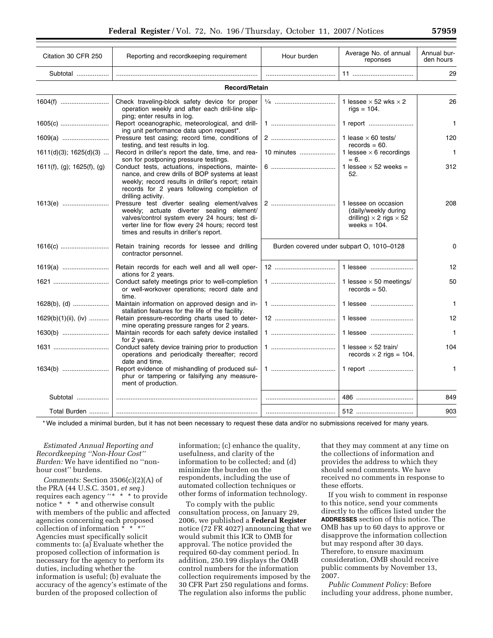| Citation 30 CFR 250         | Reporting and recordkeeping requirement                                                                                                                                                                                                    | Hour burden                               | Average No. of annual<br>reponses                                                                        | Annual bur-<br>den hours |  |  |  |
|-----------------------------|--------------------------------------------------------------------------------------------------------------------------------------------------------------------------------------------------------------------------------------------|-------------------------------------------|----------------------------------------------------------------------------------------------------------|--------------------------|--|--|--|
| Subtotal                    |                                                                                                                                                                                                                                            |                                           |                                                                                                          | 29                       |  |  |  |
| <b>Record/Retain</b>        |                                                                                                                                                                                                                                            |                                           |                                                                                                          |                          |  |  |  |
|                             | Check traveling-block safety device for proper<br>operation weekly and after each drill-line slip-<br>ping; enter results in log.                                                                                                          |                                           | 1 lessee $\times$ 52 wks $\times$ 2<br>$rigs = 104$ .                                                    | 26                       |  |  |  |
|                             | Report oceanographic, meteorological, and drill-<br>ing unit performance data upon request*.                                                                                                                                               |                                           |                                                                                                          | $\mathbf{1}$             |  |  |  |
|                             | Pressure test casing; record time, conditions of<br>testing, and test results in log.                                                                                                                                                      |                                           | 1 lease $\times$ 60 tests/<br>$records = 60.$                                                            | 120                      |  |  |  |
| $1611(d)(3)$ ; $1625(d)(3)$ | Record in driller's report the date, time, and rea-<br>son for postponing pressure testings.                                                                                                                                               | 10 minutes                                | 1 lessee $\times$ 6 recordings<br>$= 6.$                                                                 | $\mathbf{1}$             |  |  |  |
| 1611(f), (g); 1625(f), (g)  | Conduct tests, actuations, inspections, mainte-<br>nance, and crew drills of BOP systems at least<br>weekly; record results in driller's report; retain<br>records for 2 years following completion of<br>drilling activity.               |                                           | 1 lessee $\times$ 52 weeks =<br>52.                                                                      | 312                      |  |  |  |
| 1613(e)                     | Pressure test diverter sealing element/valves<br>weekly; actuate diverter sealing element/<br>valves/control system every 24 hours; test di-<br>verter line for flow every 24 hours; record test<br>times and results in driller's report. |                                           | 1 lessee on occasion<br>(daily/weekly during<br>drilling) $\times$ 2 rigs $\times$ 52<br>weeks = $104$ . | 208                      |  |  |  |
|                             | Retain training records for lessee and drilling<br>contractor personnel.                                                                                                                                                                   | Burden covered under subpart O, 1010-0128 |                                                                                                          | 0                        |  |  |  |
|                             | Retain records for each well and all well oper-<br>ations for 2 years.                                                                                                                                                                     |                                           | 1 lessee                                                                                                 | 12                       |  |  |  |
| 1621                        | Conduct safety meetings prior to well-completion<br>or well-workover operations; record date and<br>time.                                                                                                                                  |                                           | 1 lessee $\times$ 50 meetings/<br>$records = 50.$                                                        | 50                       |  |  |  |
| $1628(b)$ , (d)             | Maintain information on approved design and in-<br>stallation features for the life of the facility.                                                                                                                                       |                                           | 1 lessee                                                                                                 | $\mathbf{1}$             |  |  |  |
| $1629(b)(1)(ii)$ , (iv)     | Retain pressure-recording charts used to deter-<br>mine operating pressure ranges for 2 years.                                                                                                                                             |                                           | 1 lessee                                                                                                 | 12                       |  |  |  |
| 1630(b)                     | Maintain records for each safety device installed<br>for 2 years.                                                                                                                                                                          |                                           | 1 lessee                                                                                                 | $\mathbf{1}$             |  |  |  |
|                             | Conduct safety device training prior to production<br>operations and periodically thereafter; record<br>date and time.                                                                                                                     |                                           | 1 lessee $\times$ 52 train/<br>records $\times$ 2 rigs = 104.                                            | 104                      |  |  |  |
|                             | Report evidence of mishandling of produced sul-<br>phur or tampering or falsifying any measure-<br>ment of production.                                                                                                                     |                                           | 1 report                                                                                                 | $\mathbf{1}$             |  |  |  |
| Subtotal                    |                                                                                                                                                                                                                                            |                                           | 486                                                                                                      | 849                      |  |  |  |
|                             |                                                                                                                                                                                                                                            |                                           | 512                                                                                                      | 903                      |  |  |  |

\* We included a minimal burden, but it has not been necessary to request these data and/or no submissions received for many years.

*Estimated Annual Reporting and Recordkeeping ''Non-Hour Cost'' Burden:* We have identified no ''nonhour cost'' burdens.

*Comments:* Section 3506(c)(2)(A) of the PRA (44 U.S.C. 3501, *et seq.*) requires each agency ''\* \* \* to provide notice \* \* \* and otherwise consult with members of the public and affected agencies concerning each proposed collection of information \* \* \*'' Agencies must specifically solicit comments to: (a) Evaluate whether the proposed collection of information is necessary for the agency to perform its duties, including whether the information is useful; (b) evaluate the accuracy of the agency's estimate of the burden of the proposed collection of

information; (c) enhance the quality, usefulness, and clarity of the information to be collected; and (d) minimize the burden on the respondents, including the use of automated collection techniques or other forms of information technology.

To comply with the public consultation process, on January 29, 2006, we published a **Federal Register**  notice (72 FR 4027) announcing that we would submit this ICR to OMB for approval. The notice provided the required 60-day comment period. In addition, 250.199 displays the OMB control numbers for the information collection requirements imposed by the 30 CFR Part 250 regulations and forms. The regulation also informs the public

that they may comment at any time on the collections of information and provides the address to which they should send comments. We have received no comments in response to these efforts.

If you wish to comment in response to this notice, send your comments directly to the offices listed under the **ADDRESSES** section of this notice. The OMB has up to 60 days to approve or disapprove the information collection but may respond after 30 days. Therefore, to ensure maximum consideration, OMB should receive public comments by November 13, 2007.

*Public Comment Policy:* Before including your address, phone number,